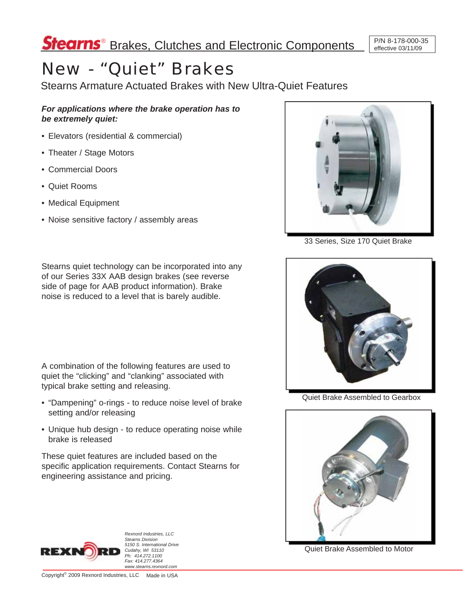# New - "Quiet" Brakes

Stearns Armature Actuated Brakes with New Ultra-Quiet Features

*For applications where the brake operation has to be extremely quiet:*

- Elevators (residential & commercial)
- Theater / Stage Motors
- Commercial Doors
- Quiet Rooms
- Medical Equipment
- Noise sensitive factory / assembly areas



33 Series, Size 170 Quiet Brake

Stearns quiet technology can be incorporated into any of our Series 33X AAB design brakes (see reverse side of page for AAB product information). Brake noise is reduced to a level that is barely audible.

A combination of the following features are used to quiet the "clicking" and "clanking" associated with typical brake setting and releasing.

- "Dampening" o-rings to reduce noise level of brake setting and/or releasing
- Unique hub design to reduce operating noise while brake is released

These quiet features are included based on the specific application requirements. Contact Stearns for engineering assistance and pricing.



Quiet Brake Assembled to Gearbox



Quiet Brake Assembled to Motor



*Rexnord Industries, LLC Stearns Division 5150 S. International Drive Cudahy, WI 53110 Ph: 414.272.1100 Fax: 414.277.4364 www.stearns.rexnord.com*